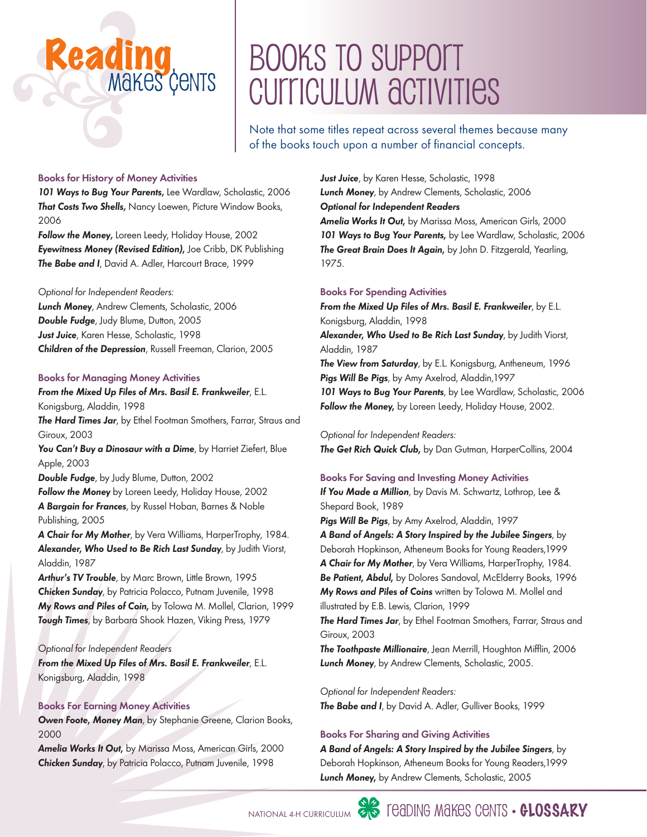### Books To Support CUITICULUM ACTIVITIES

Note that some titles repeat across several themes because many of the books touch upon a number of financial concepts.

#### Books for History of Money Activities

Reading

*101 Ways to Bug Your Parents*, Lee Wardlaw, Scholastic, 2006 *That Costs Two Shells*, Nancy Loewen, Picture Window Books, 2006

Makes Cents

*Follow the Money*, Loreen Leedy, Holiday House, 2002 *Eyewitness Money (Revised Edition),* Joe Cribb, DK Publishing *The Babe and I*, David A. Adler, Harcourt Brace, 1999

#### *Optional for Independent Readers:*

*Lunch Money*, Andrew Clements, Scholastic, 2006 *Double Fudge*, Judy Blume, Dutton, 2005 *Just Juice*, Karen Hesse, Scholastic, 1998 *Children of the Depression*, Russell Freeman, Clarion, 2005

#### Books for Managing Money Activities

#### *From the Mixed Up Files of Mrs. Basil E. Frankweiler*, E.L. Konigsburg, Aladdin, 1998

*The Hard Times Jar*, by Ethel Footman Smothers, Farrar, Straus and Giroux, 2003

*You Can't Buy a Dinosaur with a Dime*, by Harriet Ziefert, Blue Apple, 2003

*Double Fudge*, by Judy Blume, Dutton, 2002

*Follow the Money* by Loreen Leedy, Holiday House, 2002 *A Bargain for Frances*, by Russel Hoban, Barnes & Noble Publishing, 2005

*A Chair for My Mother*, by Vera Williams, HarperTrophy, 1984. *Alexander, Who Used to Be Rich Last Sunday*, by Judith Viorst, Aladdin, 1987

Arthur's TV Trouble, by Marc Brown, Little Brown, 1995 *Chicken Sunday*, by Patricia Polacco, Putnam Juvenile, 1998 *My Rows and Piles of Coin,* by Tolowa M. Mollel, Clarion, 1999 *Tough Times*, by Barbara Shook Hazen, Viking Press, 1979

#### *Optional for Independent Readers*

*From the Mixed Up Files of Mrs. Basil E. Frankweiler*, E.L. Konigsburg, Aladdin, 1998

#### Books For Earning Money Activities

*Owen Foote, Money Man*, by Stephanie Greene, Clarion Books, 2000

*Amelia Works It Out,* by Marissa Moss, American Girls, 2000 *Chicken Sunday*, by Patricia Polacco, Putnam Juvenile, 1998

*Just Juice*, by Karen Hesse, Scholastic, 1998 *Lunch Money*, by Andrew Clements, Scholastic, 2006 *Optional for Independent Readers Amelia Works It Out,* by Marissa Moss, American Girls, 2000 *101 Ways to Bug Your Parents,* by Lee Wardlaw, Scholastic, 2006 *The Great Brain Does It Again,* by John D. Fitzgerald, Yearling, 1975.

#### Books For Spending Activities

*From the mixed up files of Mrs. Basil E. Frankweiler*, by E.L. Konigsburg, Aladdin, 1998 *Alexander, Who Used to Be Rich Last Sunday*, by Judith Viorst, Aladdin, 1987 *The View from Saturday*, by E.L. Konigsburg, Antheneum, 1996 *Pigs will Be Pigs*, by Amy Axelrod, Aladdin,1997 *101 Ways to Bug Your Parents*, by Lee Wardlaw, Scholastic, 2006 *Follow the Money,* by Loreen Leedy, Holiday House, 2002.

#### *Optional for Independent Readers:*

**The Get Rich Quick Club,** by Dan Gutman, HarperCollins, 2004

#### Books For Saving and Investing Money Activities

*If You Made a Million*, by Davis M. Schwartz, Lothrop, Lee & Shepard Book, 1989

*Pigs will Be Pigs*, by Amy Axelrod, Aladdin, 1997

*A Band of Angels: A Story Inspired by the Jubilee Singers*, by Deborah Hopkinson, Atheneum Books for Young Readers,1999 *A Chair for my Mother*, by Vera Williams, HarperTrophy, 1984. *Be Patient, Abdul,* by Dolores Sandoval, McElderry Books, 1996 *My Rows and Piles of Coins* written by Tolowa M. Mollel and illustrated by E.B. Lewis, Clarion, 1999

**The Hard Times Jar**, by Ethel Footman Smothers, Farrar, Straus and Giroux, 2003

*The Toothpaste Millionaire*, Jean Merrill, Houghton Mifflin, 2006 *Lunch Money*, by Andrew Clements, Scholastic, 2005.

*Optional for Independent Readers: The Babe and I*, by David A. Adler, Gulliver Books, 1999

#### Books For Sharing and Giving Activities

*A Band of Angels: A Story Inspired by the Jubilee Singers*, by Deborah Hopkinson, Atheneum Books for Young Readers,1999 *Lunch Money,* by Andrew Clements, Scholastic, 2005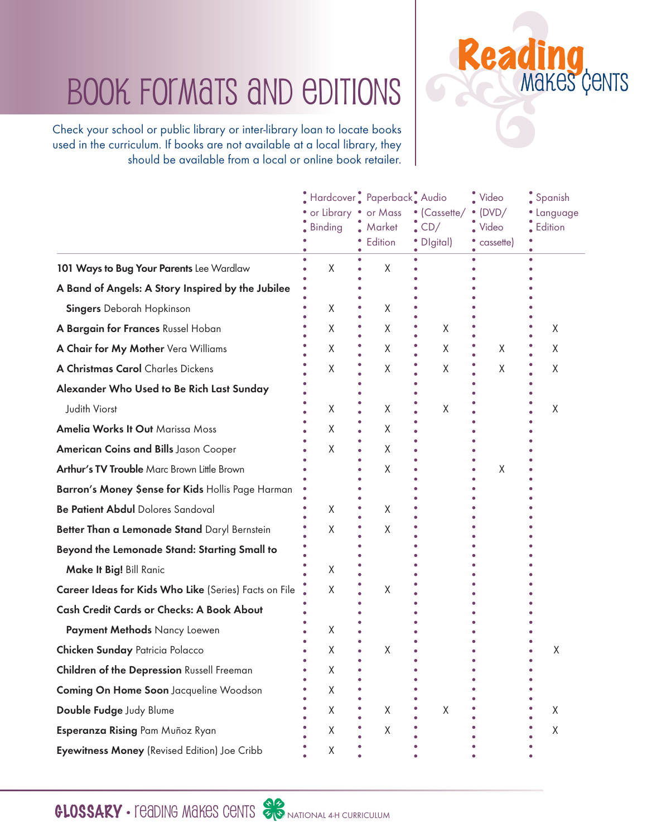### Book Formats and Editions

Check your school or public library or inter-library loan to locate books used in the curriculum. If books are not available at a local library, they should be available from a local or online book retailer.

|                                                       | Hardcover Paperback Audio<br>or Library • or Mass<br><b>Binding</b> | $M$ arket<br>Edition | • (Cassette/<br>$\cdot$ CD/<br>• Digital) | $\ddot{\bullet}$ Video<br>$\bullet$ (DVD/<br>$\sim$ Video<br>cassette) | $\frac{1}{2}$ Spanish<br>· Language<br>$\frac{1}{2}$ Edition |
|-------------------------------------------------------|---------------------------------------------------------------------|----------------------|-------------------------------------------|------------------------------------------------------------------------|--------------------------------------------------------------|
| 101 Ways to Bug Your Parents Lee Wardlaw              | X                                                                   | Χ                    |                                           |                                                                        |                                                              |
| A Band of Angels: A Story Inspired by the Jubilee     |                                                                     |                      |                                           |                                                                        |                                                              |
| <b>Singers</b> Deborah Hopkinson                      | Χ                                                                   | Χ                    |                                           |                                                                        |                                                              |
| A Bargain for Frances Russel Hoban                    | Χ                                                                   | X                    | X                                         |                                                                        | X                                                            |
| A Chair for My Mother Vera Williams                   | X                                                                   | X                    | X                                         | X                                                                      | X                                                            |
| A Christmas Carol Charles Dickens                     | X                                                                   | Χ                    | X                                         | Χ                                                                      | Χ                                                            |
| Alexander Who Used to Be Rich Last Sunday             |                                                                     |                      |                                           |                                                                        |                                                              |
| Judith Viorst                                         | X                                                                   | Χ                    | Χ                                         |                                                                        | Χ                                                            |
| <b>Amelia Works It Out Marissa Moss</b>               | Χ                                                                   | Χ                    |                                           |                                                                        |                                                              |
| <b>American Coins and Bills Jason Cooper</b>          | X                                                                   | X                    |                                           |                                                                        |                                                              |
| Arthur's TV Trouble Marc Brown Little Brown           |                                                                     | X                    |                                           | Χ                                                                      |                                                              |
| Barron's Money Sense for Kids Hollis Page Harman      |                                                                     |                      |                                           |                                                                        |                                                              |
| Be Patient Abdul Dolores Sandoval                     | Χ                                                                   | X                    |                                           |                                                                        |                                                              |
| Better Than a Lemonade Stand Daryl Bernstein          | X                                                                   | X                    |                                           |                                                                        |                                                              |
| Beyond the Lemonade Stand: Starting Small to          |                                                                     |                      |                                           |                                                                        |                                                              |
| Make It Big! Bill Ranic                               | X                                                                   |                      |                                           |                                                                        |                                                              |
| Career Ideas for Kids Who Like (Series) Facts on File | X                                                                   | Χ                    |                                           |                                                                        |                                                              |
| <b>Cash Credit Cards or Checks: A Book About</b>      |                                                                     |                      |                                           |                                                                        |                                                              |
| Payment Methods Nancy Loewen                          | X                                                                   |                      |                                           |                                                                        |                                                              |
| <b>Chicken Sunday Patricia Polacco</b>                | χ                                                                   | Χ                    |                                           |                                                                        | Χ                                                            |
| Children of the Depression Russell Freeman            | Χ                                                                   |                      |                                           |                                                                        |                                                              |
| Coming On Home Soon Jacqueline Woodson                | X                                                                   |                      |                                           |                                                                        |                                                              |
| Double Fudge Judy Blume                               | X                                                                   | X                    | X                                         |                                                                        | X                                                            |
| Esperanza Rising Pam Muñoz Ryan                       | Χ                                                                   | Χ                    |                                           |                                                                        | Χ                                                            |
| Eyewitness Money (Revised Edition) Joe Cribb          | Χ                                                                   |                      |                                           |                                                                        |                                                              |

Reading<br>Makes Cents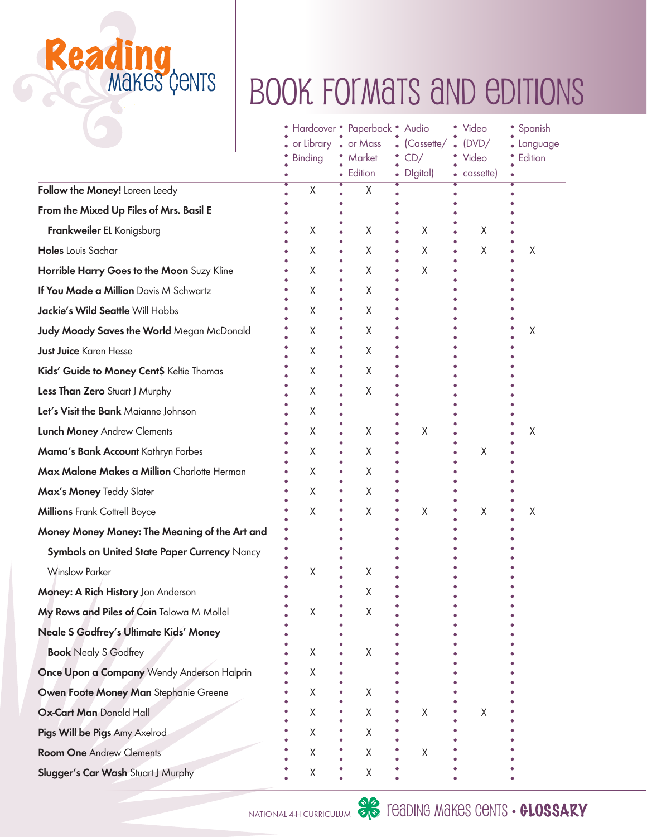# Reading<br>Makes Cents

## BOOK FORMATS AND EDITIONS

|                                                  |  | or Library . or Mass<br><b>Binding</b> | Hardcover • Paperback • Audio<br>Market<br>Edition | (Cassette/<br>CD/<br>Digital)<br>$\bullet$ | Video<br>(DVD/<br>Video<br>cassette) | Spanish<br>Language<br>Edition |
|--------------------------------------------------|--|----------------------------------------|----------------------------------------------------|--------------------------------------------|--------------------------------------|--------------------------------|
| Follow the Money! Loreen Leedy                   |  | χ                                      | Χ                                                  |                                            |                                      |                                |
| From the Mixed Up Files of Mrs. Basil E          |  |                                        |                                                    |                                            |                                      |                                |
| Frankweiler EL Konigsburg                        |  | Χ                                      | Χ                                                  | X                                          | X                                    |                                |
| Holes Louis Sachar                               |  | Χ                                      | Χ                                                  | X                                          | Χ                                    | Χ                              |
| Horrible Harry Goes to the Moon Suzy Kline       |  | Χ                                      | Χ                                                  | X                                          |                                      |                                |
| If You Made a Million Davis M Schwartz           |  | X                                      | Χ                                                  |                                            |                                      |                                |
| Jackie's Wild Seattle Will Hobbs                 |  | Χ                                      | X                                                  |                                            |                                      |                                |
| <b>Judy Moody Saves the World Megan McDonald</b> |  | Χ                                      | Χ                                                  |                                            |                                      | Χ                              |
| <b>Just Juice Karen Hesse</b>                    |  | X                                      | Χ                                                  |                                            |                                      |                                |
| Kids' Guide to Money Cent\$ Keltie Thomas        |  | Χ                                      | Χ                                                  |                                            |                                      |                                |
| Less Than Zero Stuart J Murphy                   |  | Χ                                      | Χ                                                  |                                            |                                      |                                |
| Let's Visit the Bank Maianne Johnson             |  | Χ                                      |                                                    |                                            |                                      |                                |
| Lunch Money Andrew Clements                      |  | Χ                                      | Χ                                                  | Χ                                          |                                      | Χ                              |
| Mama's Bank Account Kathryn Forbes               |  | Χ                                      | Χ                                                  |                                            | Χ                                    |                                |
| Max Malone Makes a Million Charlotte Herman      |  | Χ                                      | Χ                                                  |                                            |                                      |                                |
| Max's Money Teddy Slater                         |  | χ                                      | Χ                                                  |                                            |                                      |                                |
| <b>Millions</b> Frank Cottrell Boyce             |  | Χ                                      | Χ                                                  | X                                          | Χ                                    | Χ                              |
| Money Money Money: The Meaning of the Art and    |  |                                        |                                                    |                                            |                                      |                                |
| Symbols on United State Paper Currency Nancy     |  |                                        |                                                    |                                            |                                      |                                |
| <b>Winslow Parker</b>                            |  | Χ                                      | Χ                                                  |                                            |                                      |                                |
| Money: A Rich History Jon Anderson               |  |                                        | Χ                                                  |                                            |                                      |                                |
| My Rows and Piles of Coin Tolowa M Mollel        |  | Χ                                      | Χ                                                  |                                            |                                      |                                |
| Neale S Godfrey's Ultimate Kids' Money           |  |                                        |                                                    |                                            |                                      |                                |
| <b>Book</b> Nealy S Godfrey                      |  | Χ                                      | Χ                                                  |                                            |                                      |                                |
| Once Upon a Company Wendy Anderson Halprin       |  | Χ                                      |                                                    |                                            |                                      |                                |
| Owen Foote Money Man Stephanie Greene            |  | Χ                                      | Χ                                                  |                                            |                                      |                                |
| <b>Ox-Cart Man Donald Hall</b>                   |  | X                                      | Χ                                                  | X                                          | X                                    |                                |
| Pigs Will be Pigs Amy Axelrod                    |  | Χ                                      | Χ                                                  |                                            |                                      |                                |
| <b>Room One Andrew Clements</b>                  |  | Χ                                      | Χ                                                  | Χ                                          |                                      |                                |
| Slugger's Car Wash Stuart J Murphy               |  | Χ                                      | Χ                                                  |                                            |                                      |                                |